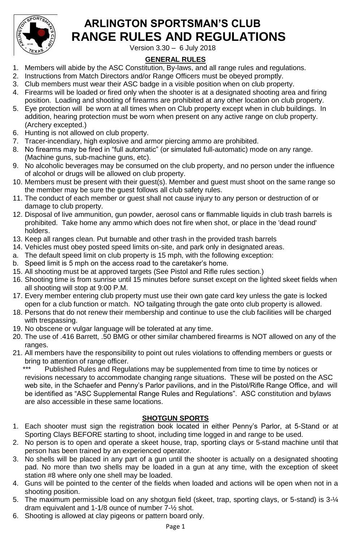

# **ARLINGTON SPORTSMAN'S CLUB RANGE RULES AND REGULATIONS**

Version 3.30 – 6 July 2018

# **GENERAL RULES**

- 1. Members will abide by the ASC Constitution, By-laws, and all range rules and regulations.
- 2. Instructions from Match Directors and/or Range Officers must be obeyed promptly.
- 3. Club members must wear their ASC badge in a visible position when on club property.
- 4. Firearms will be loaded or fired only when the shooter is at a designated shooting area and firing position. Loading and shooting of firearms are prohibited at any other location on club property.
- 5. Eye protection will be worn at all times when on Club property except when in club buildings. In addition, hearing protection must be worn when present on any active range on club property. (Archery excepted.)
- 6. Hunting is not allowed on club property.
- 7. Tracer-incendiary, high explosive and armor piercing ammo are prohibited.
- 8. No firearms may be fired in "full automatic" (or simulated full-automatic) mode on any range. (Machine guns, sub-machine guns, etc).
- 9. No alcoholic beverages may be consumed on the club property, and no person under the influence of alcohol or drugs will be allowed on club property.
- 10. Members must be present with their guest(s). Member and guest must shoot on the same range so the member may be sure the guest follows all club safety rules.
- 11. The conduct of each member or guest shall not cause injury to any person or destruction of or damage to club property.
- 12. Disposal of live ammunition, gun powder, aerosol cans or flammable liquids in club trash barrels is prohibited. Take home any ammo which does not fire when shot, or place in the 'dead round' holders.
- 13. Keep all ranges clean. Put burnable and other trash in the provided trash barrels
- 14. Vehicles must obey posted speed limits on-site, and park only in designated areas.
- a. The default speed limit on club property is 15 mph, with the following exception:
- b. Speed limit is 5 mph on the access road to the caretaker's home.
- 15. All shooting must be at approved targets (See Pistol and Rifle rules section.)
- 16. Shooting time is from sunrise until 15 minutes before sunset except on the lighted skeet fields when all shooting will stop at 9:00 P.M.
- 17. Every member entering club property must use their own gate card key unless the gate is locked open for a club function or match. NO tailgating through the gate onto club property is allowed.
- 18. Persons that do not renew their membership and continue to use the club facilities will be charged with trespassing.
- 19. No obscene or vulgar language will be tolerated at any time.
- 20. The use of .416 Barrett, .50 BMG or other similar chambered firearms is NOT allowed on any of the ranges.
- 21. All members have the responsibility to point out rules violations to offending members or guests or bring to attention of range officer.<br>\*\*\* Published Pulse and Pequ

Published Rules and Regulations may be supplemented from time to time by notices or revisions necessary to accommodate changing range situations. These will be posted on the ASC web site, in the Schaefer and Penny's Parlor pavilions, and in the Pistol/Rifle Range Office, and will be identified as "ASC Supplemental Range Rules and Regulations". ASC constitution and bylaws are also accessible in these same locations.

# **SHOTGUN SPORTS**

- 1. Each shooter must sign the registration book located in either Penny's Parlor, at 5-Stand or at Sporting Clays BEFORE starting to shoot, including time logged in and range to be used.
- 2. No person is to open and operate a skeet house, trap, sporting clays or 5-stand machine until that person has been trained by an experienced operator.
- 3. No shells will be placed in any part of a gun until the shooter is actually on a designated shooting pad. No more than two shells may be loaded in a gun at any time, with the exception of skeet station #8 where only one shell may be loaded.
- 4. Guns will be pointed to the center of the fields when loaded and actions will be open when not in a shooting position.
- 5. The maximum permissible load on any shotgun field (skeet, trap, sporting clays, or 5-stand) is 3-¼ dram equivalent and 1-1/8 ounce of number 7-½ shot.
- 6. Shooting is allowed at clay pigeons or pattern board only.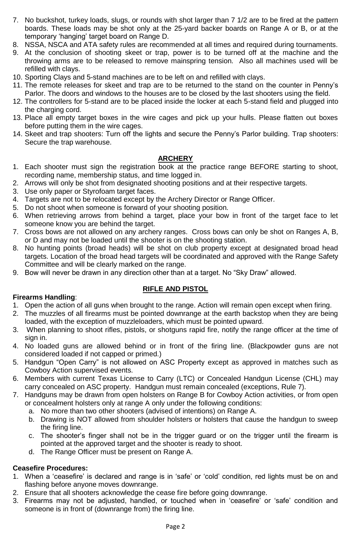- 7. No buckshot, turkey loads, slugs, or rounds with shot larger than 7 1/2 are to be fired at the pattern boards. These loads may be shot only at the 25-yard backer boards on Range A or B, or at the temporary 'hanging' target board on Range D.
- 8. NSSA, NSCA and ATA safety rules are recommended at all times and required during tournaments.
- 9. At the conclusion of shooting skeet or trap, power is to be turned off at the machine and the throwing arms are to be released to remove mainspring tension. Also all machines used will be refilled with clays.
- 10. Sporting Clays and 5-stand machines are to be left on and refilled with clays.
- 11. The remote releases for skeet and trap are to be returned to the stand on the counter in Penny's Parlor. The doors and windows to the houses are to be closed by the last shooters using the field.
- 12. The controllers for 5-stand are to be placed inside the locker at each 5-stand field and plugged into the charging cord.
- 13. Place all empty target boxes in the wire cages and pick up your hulls. Please flatten out boxes before putting them in the wire cages.
- 14. Skeet and trap shooters: Turn off the lights and secure the Penny's Parlor building. Trap shooters: Secure the trap warehouse.

### **ARCHERY**

- 1. Each shooter must sign the registration book at the practice range BEFORE starting to shoot, recording name, membership status, and time logged in.
- 2. Arrows will only be shot from designated shooting positions and at their respective targets.
- 3. Use only paper or Styrofoam target faces.
- 4. Targets are not to be relocated except by the Archery Director or Range Officer.
- 5. Do not shoot when someone is forward of your shooting position.
- 6. When retrieving arrows from behind a target, place your bow in front of the target face to let someone know you are behind the target.
- 7. Cross bows are not allowed on any archery ranges. Cross bows can only be shot on Ranges A, B, or D and may not be loaded until the shooter is on the shooting station.
- 8. No hunting points (broad heads) will be shot on club property except at designated broad head targets. Location of the broad head targets will be coordinated and approved with the Range Safety Committee and will be clearly marked on the range.
- 9. Bow will never be drawn in any direction other than at a target. No "Sky Draw" allowed.

#### **RIFLE AND PISTOL**

#### **Firearms Handling**:

- 1. Open the action of all guns when brought to the range. Action will remain open except when firing.
- 2. The muzzles of all firearms must be pointed downrange at the earth backstop when they are being loaded, with the exception of muzzleloaders, which must be pointed upward.
- 3. When planning to shoot rifles, pistols, or shotguns rapid fire, notify the range officer at the time of sign in.
- 4. No loaded guns are allowed behind or in front of the firing line. (Blackpowder guns are not considered loaded if not capped or primed.)
- 5. Handgun "Open Carry" is not allowed on ASC Property except as approved in matches such as Cowboy Action supervised events.
- 6. Members with current Texas License to Carry (LTC) or Concealed Handgun License (CHL) may carry concealed on ASC property. Handgun must remain concealed (exceptions, Rule 7).
- 7. Handguns may be drawn from open holsters on Range B for Cowboy Action activities, or from open or concealment holsters only at range A only under the following conditions:
	- a. No more than two other shooters (advised of intentions) on Range A.
	- b. Drawing is NOT allowed from shoulder holsters or holsters that cause the handgun to sweep the firing line.
	- c. The shooter's finger shall not be in the trigger guard or on the trigger until the firearm is pointed at the approved target and the shooter is ready to shoot.
	- d. The Range Officer must be present on Range A.

### **Ceasefire Procedures:**

- 1. When a 'ceasefire' is declared and range is in 'safe' or 'cold' condition, red lights must be on and flashing before anyone moves downrange.
- 2. Ensure that all shooters acknowledge the cease fire before going downrange.
- 3. Firearms may not be adjusted, handled, or touched when in 'ceasefire' or 'safe' condition and someone is in front of (downrange from) the firing line.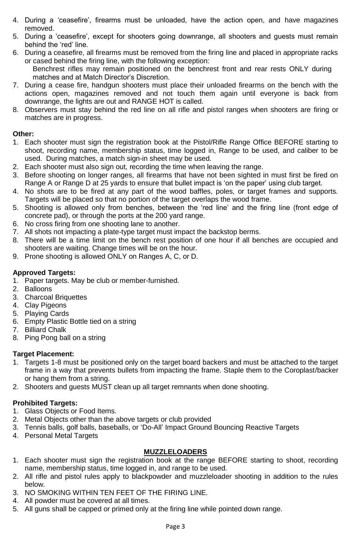- 4. During a 'ceasefire', firearms must be unloaded, have the action open, and have magazines removed.
- 5. During a 'ceasefire', except for shooters going downrange, all shooters and guests must remain behind the 'red' line.
- 6. During a ceasefire, all firearms must be removed from the firing line and placed in appropriate racks or cased behind the firing line, with the following exception:
	- Benchrest rifles may remain positioned on the benchrest front and rear rests ONLY during matches and at Match Director's Discretion.
- 7. During a cease fire, handgun shooters must place their unloaded firearms on the bench with the actions open, magazines removed and not touch them again until everyone is back from downrange, the lights are out and RANGE HOT is called.
- 8. Observers must stay behind the red line on all rifle and pistol ranges when shooters are firing or matches are in progress.

### **Other:**

- 1. Each shooter must sign the registration book at the Pistol/Rifle Range Office BEFORE starting to shoot, recording name, membership status, time logged in, Range to be used, and caliber to be used. During matches, a match sign-in sheet may be used.
- 2. Each shooter must also sign out, recording the time when leaving the range.
- 3. Before shooting on longer ranges, all firearms that have not been sighted in must first be fired on Range A or Range D at 25 yards to ensure that bullet impact is 'on the paper' using club target.
- 4. No shots are to be fired at any part of the wood baffles, poles, or target frames and supports. Targets will be placed so that no portion of the target overlaps the wood frame.
- 5. Shooting is allowed only from benches, between the 'red line' and the firing line (front edge of concrete pad), or through the ports at the 200 yard range.
- 6. No cross firing from one shooting lane to another.
- 7. All shots not impacting a plate-type target must impact the backstop berms.
- 8. There will be a time limit on the bench rest position of one hour if all benches are occupied and shooters are waiting. Change times will be on the hour.
- 9. Prone shooting is allowed ONLY on Ranges A, C, or D.

#### **Approved Targets:**

- 1. Paper targets. May be club or member-furnished.
- 2. Balloons
- 3. Charcoal Briquettes
- 4. Clay Pigeons
- 5. Playing Cards
- 6. Empty Plastic Bottle tied on a string
- 7. Billiard Chalk
- 8. Ping Pong ball on a string

### **Target Placement:**

- 1. Targets 1-8 must be positioned only on the target board backers and must be attached to the target frame in a way that prevents bullets from impacting the frame. Staple them to the Coroplast/backer or hang them from a string.
- 2. Shooters and guests MUST clean up all target remnants when done shooting.

### **Prohibited Targets:**

- 1. Glass Objects or Food Items.
- 2. Metal Objects other than the above targets or club provided
- 3. Tennis balls, golf balls, baseballs, or 'Do-All' Impact Ground Bouncing Reactive Targets
- 4. Personal Metal Targets

### **MUZZLELOADERS**

- 1. Each shooter must sign the registration book at the range BEFORE starting to shoot, recording name, membership status, time logged in, and range to be used.
- 2. All rifle and pistol rules apply to blackpowder and muzzleloader shooting in addition to the rules below.
- 3. NO SMOKING WITHIN TEN FEET OF THE FIRING LINE.
- 4. All powder must be covered at all times.
- 5. All guns shall be capped or primed only at the firing line while pointed down range.